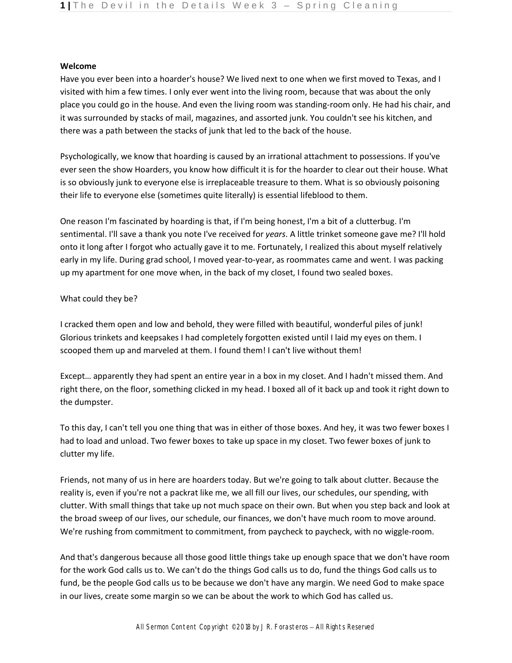## **Welcome**

Have you ever been into a hoarder's house? We lived next to one when we first moved to Texas, and I visited with him a few times. I only ever went into the living room, because that was about the only place you could go in the house. And even the living room was standing-room only. He had his chair, and it was surrounded by stacks of mail, magazines, and assorted junk. You couldn't see his kitchen, and there was a path between the stacks of junk that led to the back of the house.

Psychologically, we know that hoarding is caused by an irrational attachment to possessions. If you've ever seen the show Hoarders, you know how difficult it is for the hoarder to clear out their house. What is so obviously junk to everyone else is irreplaceable treasure to them. What is so obviously poisoning their life to everyone else (sometimes quite literally) is essential lifeblood to them.

One reason I'm fascinated by hoarding is that, if I'm being honest, I'm a bit of a clutterbug. I'm sentimental. I'll save a thank you note I've received for *years*. A little trinket someone gave me? I'll hold onto it long after I forgot who actually gave it to me. Fortunately, I realized this about myself relatively early in my life. During grad school, I moved year-to-year, as roommates came and went. I was packing up my apartment for one move when, in the back of my closet, I found two sealed boxes.

# What could they be?

I cracked them open and low and behold, they were filled with beautiful, wonderful piles of junk! Glorious trinkets and keepsakes I had completely forgotten existed until I laid my eyes on them. I scooped them up and marveled at them. I found them! I can't live without them!

Except… apparently they had spent an entire year in a box in my closet. And I hadn't missed them. And right there, on the floor, something clicked in my head. I boxed all of it back up and took it right down to the dumpster.

To this day, I can't tell you one thing that was in either of those boxes. And hey, it was two fewer boxes I had to load and unload. Two fewer boxes to take up space in my closet. Two fewer boxes of junk to clutter my life.

Friends, not many of us in here are hoarders today. But we're going to talk about clutter. Because the reality is, even if you're not a packrat like me, we all fill our lives, our schedules, our spending, with clutter. With small things that take up not much space on their own. But when you step back and look at the broad sweep of our lives, our schedule, our finances, we don't have much room to move around. We're rushing from commitment to commitment, from paycheck to paycheck, with no wiggle-room.

And that's dangerous because all those good little things take up enough space that we don't have room for the work God calls us to. We can't do the things God calls us to do, fund the things God calls us to fund, be the people God calls us to be because we don't have any margin. We need God to make space in our lives, create some margin so we can be about the work to which God has called us.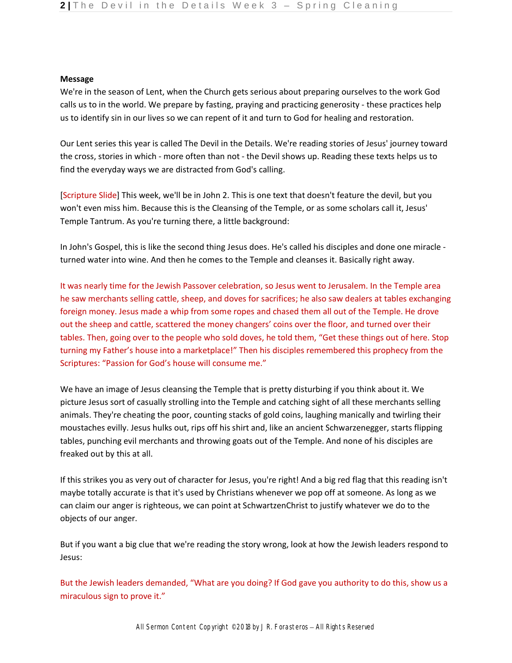### **Message**

We're in the season of Lent, when the Church gets serious about preparing ourselves to the work God calls us to in the world. We prepare by fasting, praying and practicing generosity - these practices help us to identify sin in our lives so we can repent of it and turn to God for healing and restoration.

Our Lent series this year is called The Devil in the Details. We're reading stories of Jesus' journey toward the cross, stories in which - more often than not - the Devil shows up. Reading these texts helps us to find the everyday ways we are distracted from God's calling.

[Scripture Slide] This week, we'll be in John 2. This is one text that doesn't feature the devil, but you won't even miss him. Because this is the Cleansing of the Temple, or as some scholars call it, Jesus' Temple Tantrum. As you're turning there, a little background:

In John's Gospel, this is like the second thing Jesus does. He's called his disciples and done one miracle turned water into wine. And then he comes to the Temple and cleanses it. Basically right away.

It was nearly time for the Jewish Passover celebration, so Jesus went to Jerusalem. In the Temple area he saw merchants selling cattle, sheep, and doves for sacrifices; he also saw dealers at tables exchanging foreign money. Jesus made a whip from some ropes and chased them all out of the Temple. He drove out the sheep and cattle, scattered the money changers' coins over the floor, and turned over their tables. Then, going over to the people who sold doves, he told them, "Get these things out of here. Stop turning my Father's house into a marketplace!" Then his disciples remembered this prophecy from the Scriptures: "Passion for God's house will consume me."

We have an image of Jesus cleansing the Temple that is pretty disturbing if you think about it. We picture Jesus sort of casually strolling into the Temple and catching sight of all these merchants selling animals. They're cheating the poor, counting stacks of gold coins, laughing manically and twirling their moustaches evilly. Jesus hulks out, rips off his shirt and, like an ancient Schwarzenegger, starts flipping tables, punching evil merchants and throwing goats out of the Temple. And none of his disciples are freaked out by this at all.

If this strikes you as very out of character for Jesus, you're right! And a big red flag that this reading isn't maybe totally accurate is that it's used by Christians whenever we pop off at someone. As long as we can claim our anger is righteous, we can point at SchwartzenChrist to justify whatever we do to the objects of our anger.

But if you want a big clue that we're reading the story wrong, look at how the Jewish leaders respond to Jesus:

But the Jewish leaders demanded, "What are you doing? If God gave you authority to do this, show us a miraculous sign to prove it."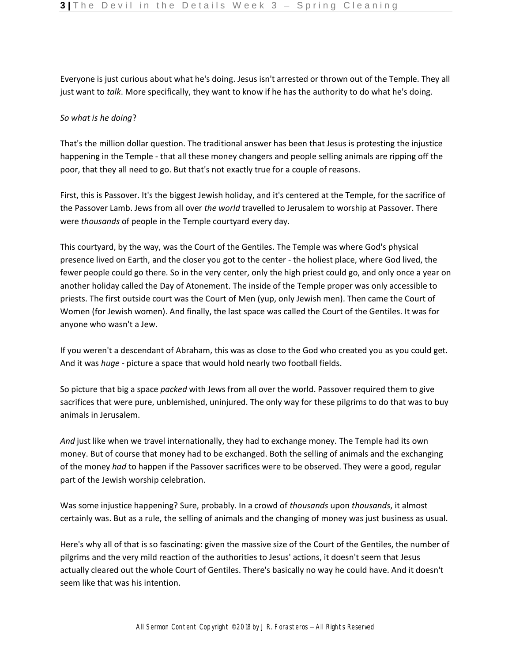Everyone is just curious about what he's doing. Jesus isn't arrested or thrown out of the Temple. They all just want to *talk*. More specifically, they want to know if he has the authority to do what he's doing.

## *So what is he doing*?

That's the million dollar question. The traditional answer has been that Jesus is protesting the injustice happening in the Temple - that all these money changers and people selling animals are ripping off the poor, that they all need to go. But that's not exactly true for a couple of reasons.

First, this is Passover. It's the biggest Jewish holiday, and it's centered at the Temple, for the sacrifice of the Passover Lamb. Jews from all over *the world* travelled to Jerusalem to worship at Passover. There were *thousands* of people in the Temple courtyard every day.

This courtyard, by the way, was the Court of the Gentiles. The Temple was where God's physical presence lived on Earth, and the closer you got to the center - the holiest place, where God lived, the fewer people could go there. So in the very center, only the high priest could go, and only once a year on another holiday called the Day of Atonement. The inside of the Temple proper was only accessible to priests. The first outside court was the Court of Men (yup, only Jewish men). Then came the Court of Women (for Jewish women). And finally, the last space was called the Court of the Gentiles. It was for anyone who wasn't a Jew.

If you weren't a descendant of Abraham, this was as close to the God who created you as you could get. And it was *huge* - picture a space that would hold nearly two football fields.

So picture that big a space *packed* with Jews from all over the world. Passover required them to give sacrifices that were pure, unblemished, uninjured. The only way for these pilgrims to do that was to buy animals in Jerusalem.

*And* just like when we travel internationally, they had to exchange money. The Temple had its own money. But of course that money had to be exchanged. Both the selling of animals and the exchanging of the money *had* to happen if the Passover sacrifices were to be observed. They were a good, regular part of the Jewish worship celebration.

Was some injustice happening? Sure, probably. In a crowd of *thousands* upon *thousands*, it almost certainly was. But as a rule, the selling of animals and the changing of money was just business as usual.

Here's why all of that is so fascinating: given the massive size of the Court of the Gentiles, the number of pilgrims and the very mild reaction of the authorities to Jesus' actions, it doesn't seem that Jesus actually cleared out the whole Court of Gentiles. There's basically no way he could have. And it doesn't seem like that was his intention.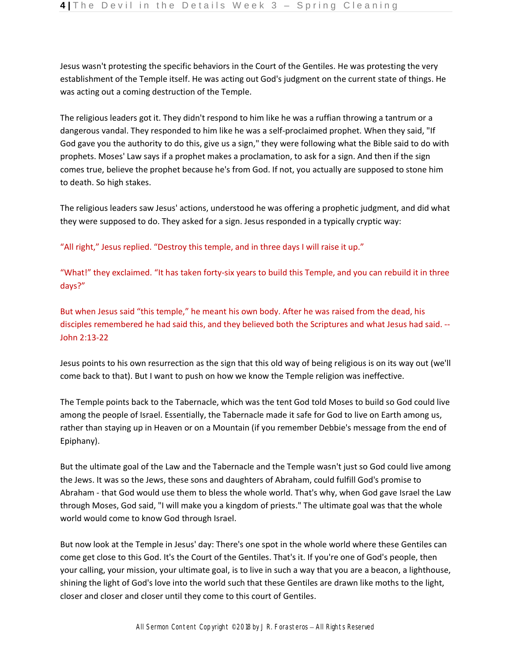Jesus wasn't protesting the specific behaviors in the Court of the Gentiles. He was protesting the very establishment of the Temple itself. He was acting out God's judgment on the current state of things. He was acting out a coming destruction of the Temple.

The religious leaders got it. They didn't respond to him like he was a ruffian throwing a tantrum or a dangerous vandal. They responded to him like he was a self-proclaimed prophet. When they said, "If God gave you the authority to do this, give us a sign," they were following what the Bible said to do with prophets. Moses' Law says if a prophet makes a proclamation, to ask for a sign. And then if the sign comes true, believe the prophet because he's from God. If not, you actually are supposed to stone him to death. So high stakes.

The religious leaders saw Jesus' actions, understood he was offering a prophetic judgment, and did what they were supposed to do. They asked for a sign. Jesus responded in a typically cryptic way:

"All right," Jesus replied. "Destroy this temple, and in three days I will raise it up."

"What!" they exclaimed. "It has taken forty-six years to build this Temple, and you can rebuild it in three days?"

But when Jesus said "this temple," he meant his own body. After he was raised from the dead, his disciples remembered he had said this, and they believed both the Scriptures and what Jesus had said. -- John 2:13-22

Jesus points to his own resurrection as the sign that this old way of being religious is on its way out (we'll come back to that). But I want to push on how we know the Temple religion was ineffective.

The Temple points back to the Tabernacle, which was the tent God told Moses to build so God could live among the people of Israel. Essentially, the Tabernacle made it safe for God to live on Earth among us, rather than staying up in Heaven or on a Mountain (if you remember Debbie's message from the end of Epiphany).

But the ultimate goal of the Law and the Tabernacle and the Temple wasn't just so God could live among the Jews. It was so the Jews, these sons and daughters of Abraham, could fulfill God's promise to Abraham - that God would use them to bless the whole world. That's why, when God gave Israel the Law through Moses, God said, "I will make you a kingdom of priests." The ultimate goal was that the whole world would come to know God through Israel.

But now look at the Temple in Jesus' day: There's one spot in the whole world where these Gentiles can come get close to this God. It's the Court of the Gentiles. That's it. If you're one of God's people, then your calling, your mission, your ultimate goal, is to live in such a way that you are a beacon, a lighthouse, shining the light of God's love into the world such that these Gentiles are drawn like moths to the light, closer and closer and closer until they come to this court of Gentiles.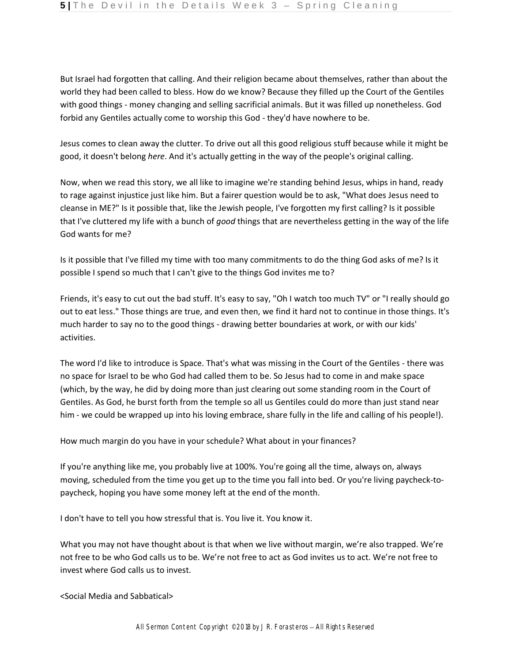But Israel had forgotten that calling. And their religion became about themselves, rather than about the world they had been called to bless. How do we know? Because they filled up the Court of the Gentiles with good things - money changing and selling sacrificial animals. But it was filled up nonetheless. God forbid any Gentiles actually come to worship this God - they'd have nowhere to be.

Jesus comes to clean away the clutter. To drive out all this good religious stuff because while it might be good, it doesn't belong *here*. And it's actually getting in the way of the people's original calling.

Now, when we read this story, we all like to imagine we're standing behind Jesus, whips in hand, ready to rage against injustice just like him. But a fairer question would be to ask, "What does Jesus need to cleanse in ME?" Is it possible that, like the Jewish people, I've forgotten my first calling? Is it possible that I've cluttered my life with a bunch of *good* things that are nevertheless getting in the way of the life God wants for me?

Is it possible that I've filled my time with too many commitments to do the thing God asks of me? Is it possible I spend so much that I can't give to the things God invites me to?

Friends, it's easy to cut out the bad stuff. It's easy to say, "Oh I watch too much TV" or "I really should go out to eat less." Those things are true, and even then, we find it hard not to continue in those things. It's much harder to say no to the good things - drawing better boundaries at work, or with our kids' activities.

The word I'd like to introduce is Space. That's what was missing in the Court of the Gentiles - there was no space for Israel to be who God had called them to be. So Jesus had to come in and make space (which, by the way, he did by doing more than just clearing out some standing room in the Court of Gentiles. As God, he burst forth from the temple so all us Gentiles could do more than just stand near him - we could be wrapped up into his loving embrace, share fully in the life and calling of his people!).

How much margin do you have in your schedule? What about in your finances?

If you're anything like me, you probably live at 100%. You're going all the time, always on, always moving, scheduled from the time you get up to the time you fall into bed. Or you're living paycheck-topaycheck, hoping you have some money left at the end of the month.

I don't have to tell you how stressful that is. You live it. You know it.

What you may not have thought about is that when we live without margin, we're also trapped. We're not free to be who God calls us to be. We're not free to act as God invites us to act. We're not free to invest where God calls us to invest.

<Social Media and Sabbatical>